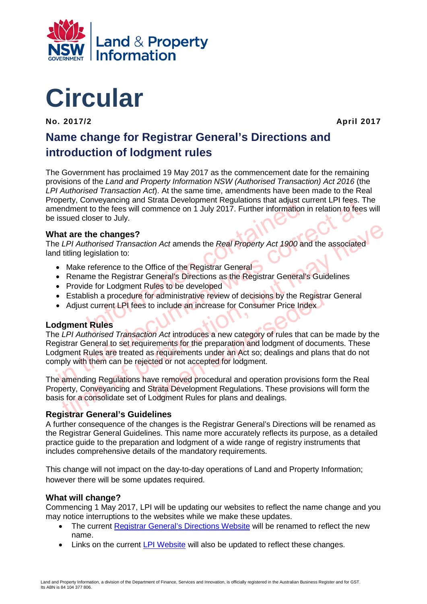



**No. 2017/2 April 2017** 

# **Name change for Registrar General's Directions and introduction of lodgment rules**

onveyancing and strata Development Regulations that adjust ct<br>to the fees will commence on 1 July 2017. Further information is<br>loser to July.<br>the changes?<br>thorised Transaction Act amends the Real Property Act 1900 an<br>egisl The Government has proclaimed 19 May 2017 as the commencement date for the remaining provisions of the *Land and Property Information NSW (Authorised Transaction) Act 2016* (the *LPI Authorised Transaction Act*). At the same time, amendments have been made to the Real Property, Conveyancing and Strata Development Regulations that adjust current LPI fees. The amendment to the fees will commence on 1 July 2017. Further information in relation to fees will be issued closer to July.

## **What are the changes?**

The *LPI Authorised Transaction Act* amends the *Real Property Act 1900* and the associated land titling legislation to:

- Make reference to the Office of the Registrar General
- Rename the Registrar General's Directions as the Registrar General's Guidelines
- Provide for Lodgment Rules to be developed
- Establish a procedure for administrative review of decisions by the Registrar General
- Adjust current LPI fees to include an increase for Consumer Price Index

#### **Lodgment Rules**

ment Consumer and Strategies and Strategies and Strategies of the Real Property. Convey and the Real Property Act 1900 and the associated<br>issued closer to July.<br> **hat are the changes?**<br>
EPI Authorised Transaction Act amend at are the changes?<br>
LPI Authorised Transaction Act amends the Real Property Act 1900 and the associated<br>
titling legislation to:<br>
Make reference to the Office of the Registrar General<br>
Make reference to the Office of the r administrative review of decisions by the Registra<br>
o include an increase for Consumer Price Index<br>
on Act introduces a new category of rules that can be<br>
rements for the preparation and lodgment of docum<br>
s requirements The *LPI Authorised Transaction Act* introduces a new category of rules that can be made by the Registrar General to set requirements for the preparation and lodgment of documents. These Lodgment Rules are treated as requirements under an Act so; dealings and plans that do not comply with them can be rejected or not accepted for lodgment.

The amending Regulations have removed procedural and operation provisions form the Real Property, Conveyancing and Strata Development Regulations. These provisions will form the basis for a consolidate set of Lodgment Rules for plans and dealings.

## **Registrar General's Guidelines**

A further consequence of the changes is the Registrar General's Directions will be renamed as the Registrar General Guidelines. This name more accurately reflects its purpose, as a detailed practice guide to the preparation and lodgment of a wide range of registry instruments that includes comprehensive details of the mandatory requirements.

This change will not impact on the day-to-day operations of Land and Property Information; however there will be some updates required.

## **What will change?**

Commencing 1 May 2017, LPI will be updating our websites to reflect the name change and you may notice interruptions to the websites while we make these updates.

- The current [Registrar General's Directions Website](http://rgdirections.lpi.nsw.gov.au/) will be renamed to reflect the new name.
- Links on the current [LPI Website](http://www.lpi.nsw.gov.au/) will also be updated to reflect these changes.